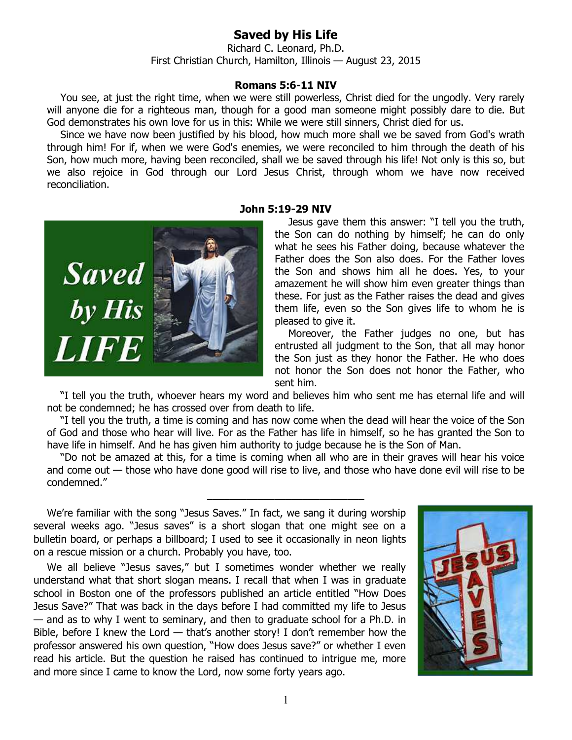## **Saved by His Life**

Richard C. Leonard, Ph.D. First Christian Church, Hamilton, Illinois — August 23, 2015

## **Romans 5:6-11 NIV**

You see, at just the right time, when we were still powerless, Christ died for the ungodly. Very rarely will anyone die for a righteous man, though for a good man someone might possibly dare to die. But God demonstrates his own love for us in this: While we were still sinners, Christ died for us.

Since we have now been justified by his blood, how much more shall we be saved from God's wrath through him! For if, when we were God's enemies, we were reconciled to him through the death of his Son, how much more, having been reconciled, shall we be saved through his life! Not only is this so, but we also rejoice in God through our Lord Jesus Christ, through whom we have now received reconciliation.



## **John 5:19-29 NIV**

Jesus gave them this answer: "I tell you the truth, the Son can do nothing by himself; he can do only what he sees his Father doing, because whatever the Father does the Son also does. For the Father loves the Son and shows him all he does. Yes, to your amazement he will show him even greater things than these. For just as the Father raises the dead and gives them life, even so the Son gives life to whom he is pleased to give it.

Moreover, the Father judges no one, but has entrusted all judgment to the Son, that all may honor the Son just as they honor the Father. He who does not honor the Son does not honor the Father, who sent him.

"I tell you the truth, whoever hears my word and believes him who sent me has eternal life and will not be condemned; he has crossed over from death to life.

"I tell you the truth, a time is coming and has now come when the dead will hear the voice of the Son of God and those who hear will live. For as the Father has life in himself, so he has granted the Son to have life in himself. And he has given him authority to judge because he is the Son of Man.

"Do not be amazed at this, for a time is coming when all who are in their graves will hear his voice and come out — those who have done good will rise to live, and those who have done evil will rise to be condemned."

 $\overline{\phantom{a}}$  , and the set of the set of the set of the set of the set of the set of the set of the set of the set of the set of the set of the set of the set of the set of the set of the set of the set of the set of the s

We're familiar with the song "Jesus Saves." In fact, we sang it during worship several weeks ago. "Jesus saves" is a short slogan that one might see on a bulletin board, or perhaps a billboard; I used to see it occasionally in neon lights on a rescue mission or a church. Probably you have, too.

We all believe "Jesus saves," but I sometimes wonder whether we really understand what that short slogan means. I recall that when I was in graduate school in Boston one of the professors published an article entitled "How Does Jesus Save?" That was back in the days before I had committed my life to Jesus — and as to why I went to seminary, and then to graduate school for a Ph.D. in Bible, before I knew the Lord — that's another story! I don't remember how the professor answered his own question, "How does Jesus save?" or whether I even read his article. But the question he raised has continued to intrigue me, more and more since I came to know the Lord, now some forty years ago.

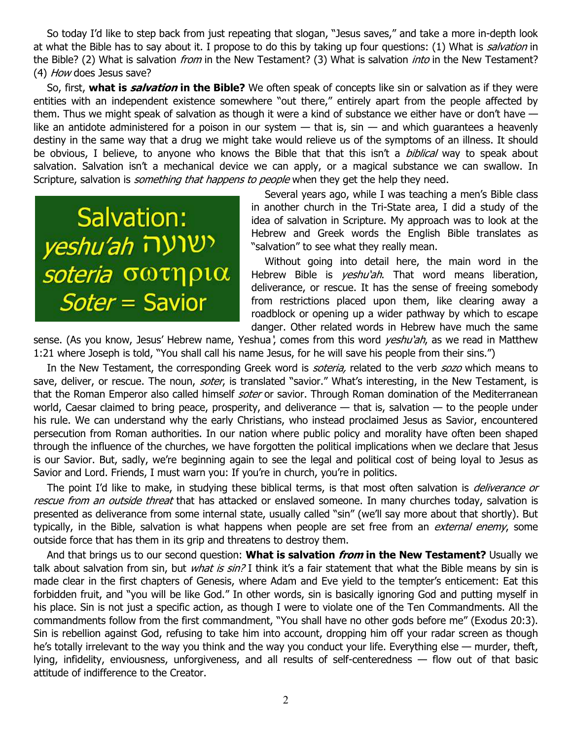So today I'd like to step back from just repeating that slogan, "Jesus saves," and take a more in-depth look at what the Bible has to say about it. I propose to do this by taking up four questions: (1) What is salvation in the Bible? (2) What is salvation *from* in the New Testament? (3) What is salvation *into* in the New Testament? (4) How does Jesus save?

So, first, **what is salvation in the Bible?** We often speak of concepts like sin or salvation as if they were entities with an independent existence somewhere "out there," entirely apart from the people affected by them. Thus we might speak of salvation as though it were a kind of substance we either have or don't have like an antidote administered for a poison in our system  $-$  that is, sin  $-$  and which guarantees a heavenly destiny in the same way that a drug we might take would relieve us of the symptoms of an illness. It should be obvious, I believe, to anyone who knows the Bible that that this isn't a *biblical* way to speak about salvation. Salvation isn't a mechanical device we can apply, or a magical substance we can swallow. In Scripture, salvation is *something that happens to people* when they get the help they need.

Salvation: yeshu'ah ישועה soteria σωτηρια Soter = Savior

Several years ago, while I was teaching a men's Bible class in another church in the Tri-State area, I did a study of the idea of salvation in Scripture. My approach was to look at the Hebrew and Greek words the English Bible translates as "salvation" to see what they really mean.

Without going into detail here, the main word in the Hebrew Bible is *yeshu'ah*. That word means liberation, deliverance, or rescue. It has the sense of freeing somebody from restrictions placed upon them, like clearing away a roadblock or opening up a wider pathway by which to escape danger. Other related words in Hebrew have much the same

sense. (As you know, Jesus' Hebrew name, Yeshua, comes from this word *yeshu'ah*, as we read in Matthew 1:21 where Joseph is told, "You shall call his name Jesus, for he will save his people from their sins.")

In the New Testament, the corresponding Greek word is *soteria*, related to the verb sozo which means to save, deliver, or rescue. The noun, *soter*, is translated "savior." What's interesting, in the New Testament, is that the Roman Emperor also called himself *soter* or savior. Through Roman domination of the Mediterranean world, Caesar claimed to bring peace, prosperity, and deliverance  $-$  that is, salvation  $-$  to the people under his rule. We can understand why the early Christians, who instead proclaimed Jesus as Savior, encountered persecution from Roman authorities. In our nation where public policy and morality have often been shaped through the influence of the churches, we have forgotten the political implications when we declare that Jesus is our Savior. But, sadly, we're beginning again to see the legal and political cost of being loyal to Jesus as Savior and Lord. Friends, I must warn you: If you're in church, you're in politics.

The point I'd like to make, in studying these biblical terms, is that most often salvation is *deliverance or* rescue from an outside threat that has attacked or enslaved someone. In many churches today, salvation is presented as deliverance from some internal state, usually called "sin" (we'll say more about that shortly). But typically, in the Bible, salvation is what happens when people are set free from an external enemy, some outside force that has them in its grip and threatens to destroy them.

And that brings us to our second question: **What is salvation from in the New Testament?** Usually we talk about salvation from sin, but *what is sin?* I think it's a fair statement that what the Bible means by sin is made clear in the first chapters of Genesis, where Adam and Eve yield to the tempter's enticement: Eat this forbidden fruit, and "you will be like God." In other words, sin is basically ignoring God and putting myself in his place. Sin is not just a specific action, as though I were to violate one of the Ten Commandments. All the commandments follow from the first commandment, "You shall have no other gods before me" (Exodus 20:3). Sin is rebellion against God, refusing to take him into account, dropping him off your radar screen as though he's totally irrelevant to the way you think and the way you conduct your life. Everything else — murder, theft, lying, infidelity, enviousness, unforgiveness, and all results of self-centeredness — flow out of that basic attitude of indifference to the Creator.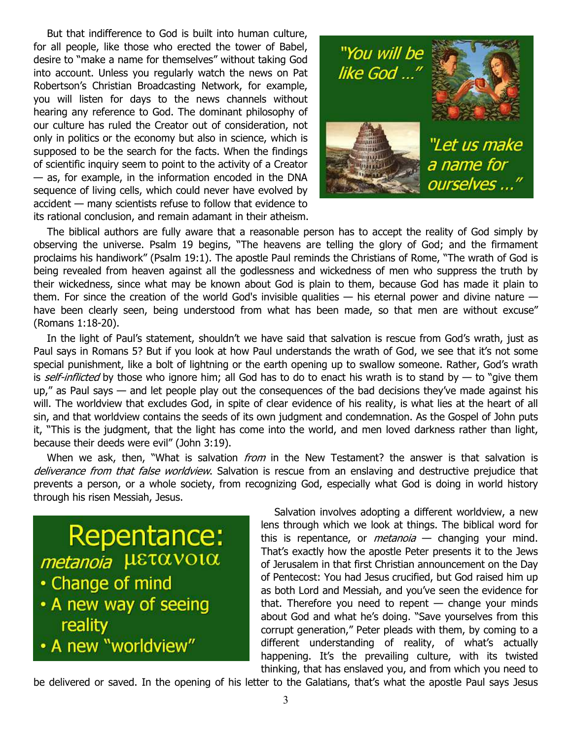But that indifference to God is built into human culture, for all people, like those who erected the tower of Babel, desire to "make a name for themselves" without taking God into account. Unless you regularly watch the news on Pat Robertson's Christian Broadcasting Network, for example, you will listen for days to the news channels without hearing any reference to God. The dominant philosophy of our culture has ruled the Creator out of consideration, not only in politics or the economy but also in science, which is supposed to be the search for the facts. When the findings of scientific inquiry seem to point to the activity of a Creator — as, for example, in the information encoded in the DNA sequence of living cells, which could never have evolved by accident — many scientists refuse to follow that evidence to its rational conclusion, and remain adamant in their atheism.



The biblical authors are fully aware that a reasonable person has to accept the reality of God simply by observing the universe. Psalm 19 begins, "The heavens are telling the glory of God; and the firmament proclaims his handiwork" (Psalm 19:1). The apostle Paul reminds the Christians of Rome, "The wrath of God is being revealed from heaven against all the godlessness and wickedness of men who suppress the truth by their wickedness, since what may be known about God is plain to them, because God has made it plain to them. For since the creation of the world God's invisible qualities — his eternal power and divine nature have been clearly seen, being understood from what has been made, so that men are without excuse" (Romans 1:18-20).

In the light of Paul's statement, shouldn't we have said that salvation is rescue from God's wrath, just as Paul says in Romans 5? But if you look at how Paul understands the wrath of God, we see that it's not some special punishment, like a bolt of lightning or the earth opening up to swallow someone. Rather, God's wrath is self-inflicted by those who ignore him; all God has to do to enact his wrath is to stand by  $-$  to "give them up," as Paul says — and let people play out the consequences of the bad decisions they've made against his will. The worldview that excludes God, in spite of clear evidence of his reality, is what lies at the heart of all sin, and that worldview contains the seeds of its own judgment and condemnation. As the Gospel of John puts it, "This is the judgment, that the light has come into the world, and men loved darkness rather than light, because their deeds were evil" (John 3:19).

When we ask, then, "What is salvation *from* in the New Testament? the answer is that salvation is deliverance from that false worldview. Salvation is rescue from an enslaving and destructive prejudice that prevents a person, or a whole society, from recognizing God, especially what God is doing in world history through his risen Messiah, Jesus.

Repentance: metanoia μετανοια • Change of mind

- A new way of seeing reality
- A new "worldview"

Salvation involves adopting a different worldview, a new lens through which we look at things. The biblical word for this is repentance, or *metanoia*  $-$  changing your mind. That's exactly how the apostle Peter presents it to the Jews of Jerusalem in that first Christian announcement on the Day of Pentecost: You had Jesus crucified, but God raised him up as both Lord and Messiah, and you've seen the evidence for that. Therefore you need to repent  $-$  change your minds about God and what he's doing. "Save yourselves from this corrupt generation," Peter pleads with them, by coming to a different understanding of reality, of what's actually happening. It's the prevailing culture, with its twisted thinking, that has enslaved you, and from which you need to

be delivered or saved. In the opening of his letter to the Galatians, that's what the apostle Paul says Jesus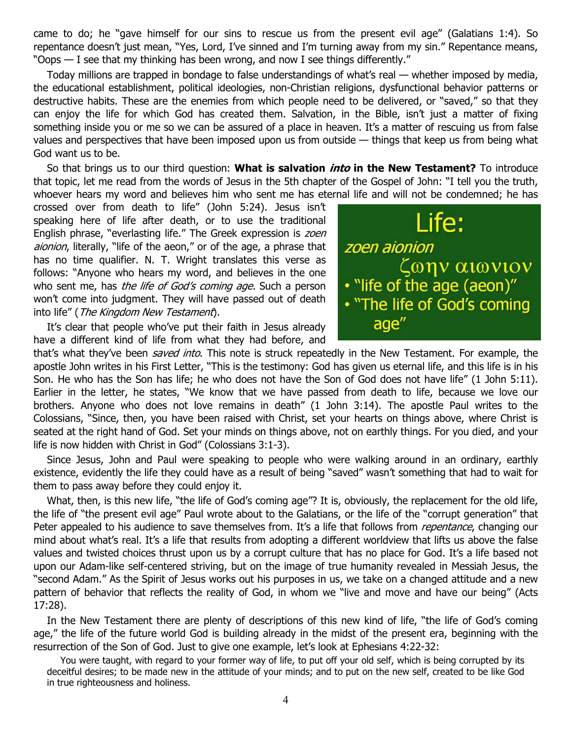came to do; he "gave himself for our sins to rescue us from the present evil age" (Galatians 1:4). So repentance doesn't just mean, "Yes, Lord, I've sinned and I'm turning away from my sin." Repentance means, "Oops — I see that my thinking has been wrong, and now I see things differently."

Today millions are trapped in bondage to false understandings of what's real — whether imposed by media, the educational establishment, political ideologies, non-Christian religions, dysfunctional behavior patterns or destructive habits. These are the enemies from which people need to be delivered, or "saved," so that they can enjoy the life for which God has created them. Salvation, in the Bible, isn't just a matter of fixing something inside you or me so we can be assured of a place in heaven. It's a matter of rescuing us from false values and perspectives that have been imposed upon us from outside — things that keep us from being what God want us to be.

So that brings us to our third question: **What is salvation into in the New Testament?** To introduce that topic, let me read from the words of Jesus in the 5th chapter of the Gospel of John: "I tell you the truth, whoever hears my word and believes him who sent me has eternal life and will not be condemned; he has

crossed over from death to life" (John 5:24). Jesus isn't speaking here of life after death, or to use the traditional English phrase, "everlasting life." The Greek expression is zoen aionion, literally, "life of the aeon," or of the age, a phrase that has no time qualifier. N. T. Wright translates this verse as follows: "Anyone who hears my word, and believes in the one who sent me, has the life of God's coming age. Such a person won't come into judgment. They will have passed out of death into life" (The Kingdom New Testament).

It's clear that people who've put their faith in Jesus already have a different kind of life from what they had before, and

that's what they've been *saved into*. This note is struck repeatedly in the New Testament. For example, the apostle John writes in his First Letter, "This is the testimony: God has given us eternal life, and this life is in his Son. He who has the Son has life; he who does not have the Son of God does not have life" (1 John 5:11). Earlier in the letter, he states, "We know that we have passed from death to life, because we love our brothers. Anyone who does not love remains in death" (1 John 3:14). The apostle Paul writes to the Colossians, "Since, then, you have been raised with Christ, set your hearts on things above, where Christ is seated at the right hand of God. Set your minds on things above, not on earthly things. For you died, and your life is now hidden with Christ in God" (Colossians 3:1-3).

Since Jesus, John and Paul were speaking to people who were walking around in an ordinary, earthly existence, evidently the life they could have as a result of being "saved" wasn't something that had to wait for them to pass away before they could enjoy it.

What, then, is this new life, "the life of God's coming age"? It is, obviously, the replacement for the old life, the life of "the present evil age" Paul wrote about to the Galatians, or the life of the "corrupt generation" that Peter appealed to his audience to save themselves from. It's a life that follows from *repentance*, changing our mind about what's real. It's a life that results from adopting a different worldview that lifts us above the false values and twisted choices thrust upon us by a corrupt culture that has no place for God. It's a life based not upon our Adam-like self-centered striving, but on the image of true humanity revealed in Messiah Jesus, the "second Adam." As the Spirit of Jesus works out his purposes in us, we take on a changed attitude and a new pattern of behavior that reflects the reality of God, in whom we "live and move and have our being" (Acts 17:28).

In the New Testament there are plenty of descriptions of this new kind of life, "the life of God's coming age," the life of the future world God is building already in the midst of the present era, beginning with the resurrection of the Son of God. Just to give one example, let's look at Ephesians 4:22-32:

You were taught, with regard to your former way of life, to put off your old self, which is being corrupted by its deceitful desires; to be made new in the attitude of your minds; and to put on the new self, created to be like God in true righteousness and holiness.

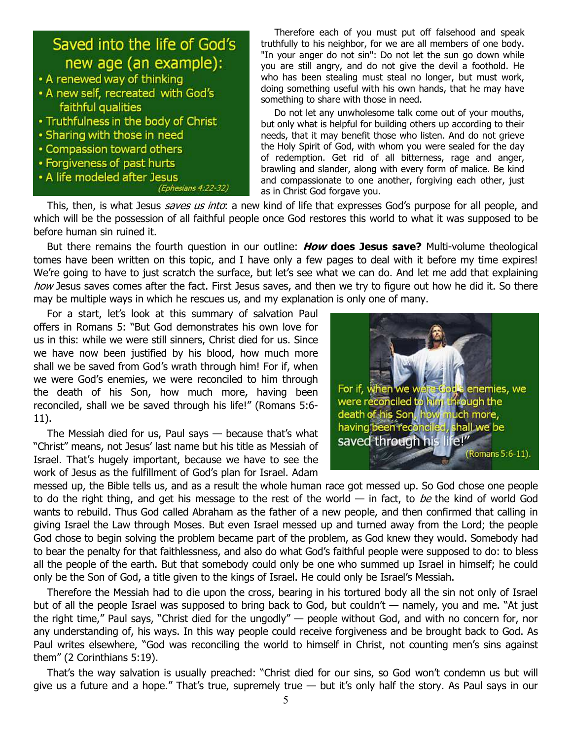## Saved into the life of God's new age (an example):

- A renewed way of thinking
- A new self, recreated with God's faithful qualities
- Truthfulness in the body of Christ
- Sharing with those in need
- Compassion toward others
- Forgiveness of past hurts
- A life modeled after Jesus

(Ephesians 4:22-32)

Therefore each of you must put off falsehood and speak truthfully to his neighbor, for we are all members of one body. "In your anger do not sin": Do not let the sun go down while you are still angry, and do not give the devil a foothold. He who has been stealing must steal no longer, but must work, doing something useful with his own hands, that he may have something to share with those in need.

Do not let any unwholesome talk come out of your mouths, but only what is helpful for building others up according to their needs, that it may benefit those who listen. And do not grieve the Holy Spirit of God, with whom you were sealed for the day of redemption. Get rid of all bitterness, rage and anger, brawling and slander, along with every form of malice. Be kind and compassionate to one another, forgiving each other, just as in Christ God forgave you.

This, then, is what Jesus *saves us into*: a new kind of life that expresses God's purpose for all people, and which will be the possession of all faithful people once God restores this world to what it was supposed to be before human sin ruined it.

But there remains the fourth question in our outline: **How does Jesus save?** Multi-volume theological tomes have been written on this topic, and I have only a few pages to deal with it before my time expires! We're going to have to just scratch the surface, but let's see what we can do. And let me add that explaining how Jesus saves comes after the fact. First Jesus saves, and then we try to figure out how he did it. So there may be multiple ways in which he rescues us, and my explanation is only one of many.

For a start, let's look at this summary of salvation Paul offers in Romans 5: "But God demonstrates his own love for us in this: while we were still sinners, Christ died for us. Since we have now been justified by his blood, how much more shall we be saved from God's wrath through him! For if, when we were God's enemies, we were reconciled to him through the death of his Son, how much more, having been reconciled, shall we be saved through his life!" (Romans 5:6- 11).

The Messiah died for us, Paul says — because that's what "Christ" means, not Jesus' last name but his title as Messiah of Israel. That's hugely important, because we have to see the work of Jesus as the fulfillment of God's plan for Israel. Adam



messed up, the Bible tells us, and as a result the whole human race got messed up. So God chose one people to do the right thing, and get his message to the rest of the world — in fact, to be the kind of world God wants to rebuild. Thus God called Abraham as the father of a new people, and then confirmed that calling in giving Israel the Law through Moses. But even Israel messed up and turned away from the Lord; the people God chose to begin solving the problem became part of the problem, as God knew they would. Somebody had to bear the penalty for that faithlessness, and also do what God's faithful people were supposed to do: to bless all the people of the earth. But that somebody could only be one who summed up Israel in himself; he could only be the Son of God, a title given to the kings of Israel. He could only be Israel's Messiah.

Therefore the Messiah had to die upon the cross, bearing in his tortured body all the sin not only of Israel but of all the people Israel was supposed to bring back to God, but couldn't — namely, you and me. "At just the right time," Paul says, "Christ died for the ungodly" — people without God, and with no concern for, nor any understanding of, his ways. In this way people could receive forgiveness and be brought back to God. As Paul writes elsewhere, "God was reconciling the world to himself in Christ, not counting men's sins against them" (2 Corinthians 5:19).

That's the way salvation is usually preached: "Christ died for our sins, so God won't condemn us but will give us a future and a hope." That's true, supremely true — but it's only half the story. As Paul says in our